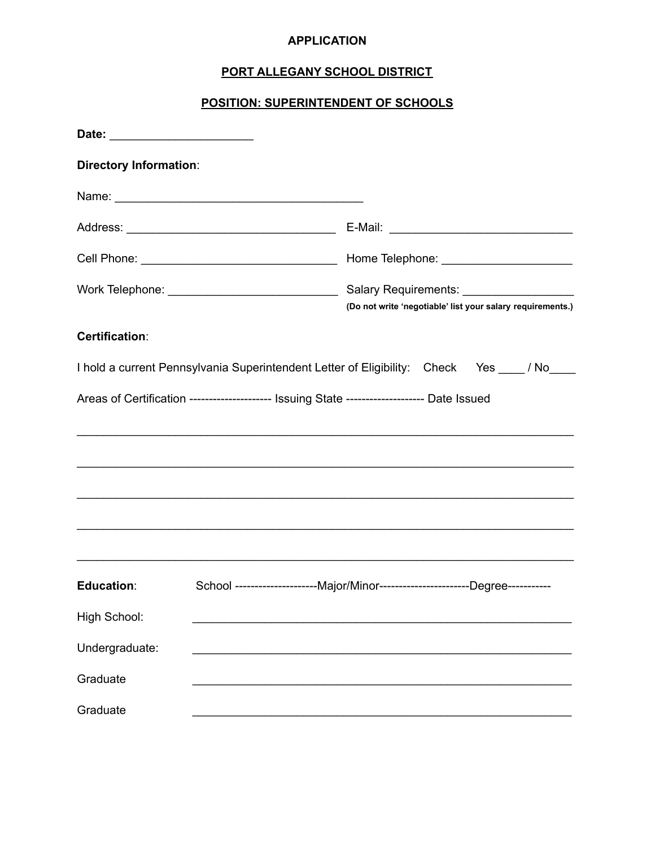## **APPLICATION**

# PORT ALLEGANY SCHOOL DISTRICT

# POSITION: SUPERINTENDENT OF SCHOOLS

| <b>Directory Information:</b>                                                                |  |  |                                                            |  |  |  |
|----------------------------------------------------------------------------------------------|--|--|------------------------------------------------------------|--|--|--|
|                                                                                              |  |  |                                                            |  |  |  |
|                                                                                              |  |  |                                                            |  |  |  |
|                                                                                              |  |  |                                                            |  |  |  |
|                                                                                              |  |  | (Do not write 'negotiable' list your salary requirements.) |  |  |  |
| Certification:                                                                               |  |  |                                                            |  |  |  |
| I hold a current Pennsylvania Superintendent Letter of Eligibility: Check Yes ___ / No___    |  |  |                                                            |  |  |  |
| Areas of Certification ---------------------- Issuing State -------------------- Date Issued |  |  |                                                            |  |  |  |
|                                                                                              |  |  |                                                            |  |  |  |
|                                                                                              |  |  |                                                            |  |  |  |
|                                                                                              |  |  |                                                            |  |  |  |
|                                                                                              |  |  |                                                            |  |  |  |
| Education:                                                                                   |  |  |                                                            |  |  |  |
| <b>High School:</b>                                                                          |  |  |                                                            |  |  |  |
| Undergraduate:                                                                               |  |  |                                                            |  |  |  |
| Graduate                                                                                     |  |  |                                                            |  |  |  |
| Graduate                                                                                     |  |  |                                                            |  |  |  |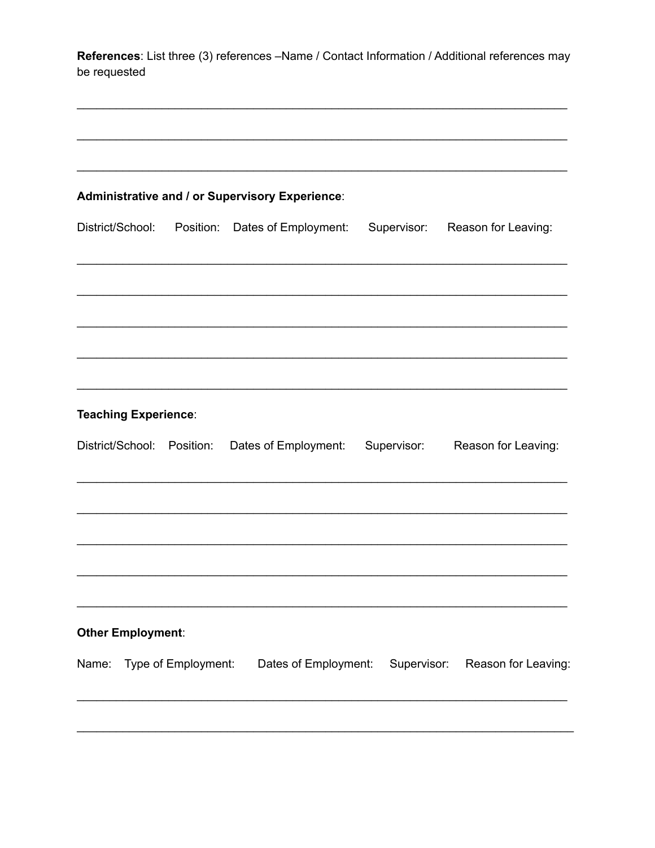References: List three (3) references -Name / Contact Information / Additional references may be requested

| Administrative and / or Supervisory Experience: |           |                                                                                |             |                     |  |
|-------------------------------------------------|-----------|--------------------------------------------------------------------------------|-------------|---------------------|--|
| District/School:                                | Position: | Dates of Employment:                                                           | Supervisor: | Reason for Leaving: |  |
|                                                 |           |                                                                                |             |                     |  |
|                                                 |           |                                                                                |             |                     |  |
| <b>Teaching Experience:</b>                     |           |                                                                                |             |                     |  |
| District/School: Position:                      |           | Dates of Employment:                                                           | Supervisor: | Reason for Leaving: |  |
|                                                 |           |                                                                                |             |                     |  |
|                                                 |           |                                                                                |             |                     |  |
| <b>Other Employment:</b>                        |           |                                                                                |             |                     |  |
|                                                 |           | Name: Type of Employment: Dates of Employment: Supervisor: Reason for Leaving: |             |                     |  |
|                                                 |           |                                                                                |             |                     |  |
|                                                 |           |                                                                                |             |                     |  |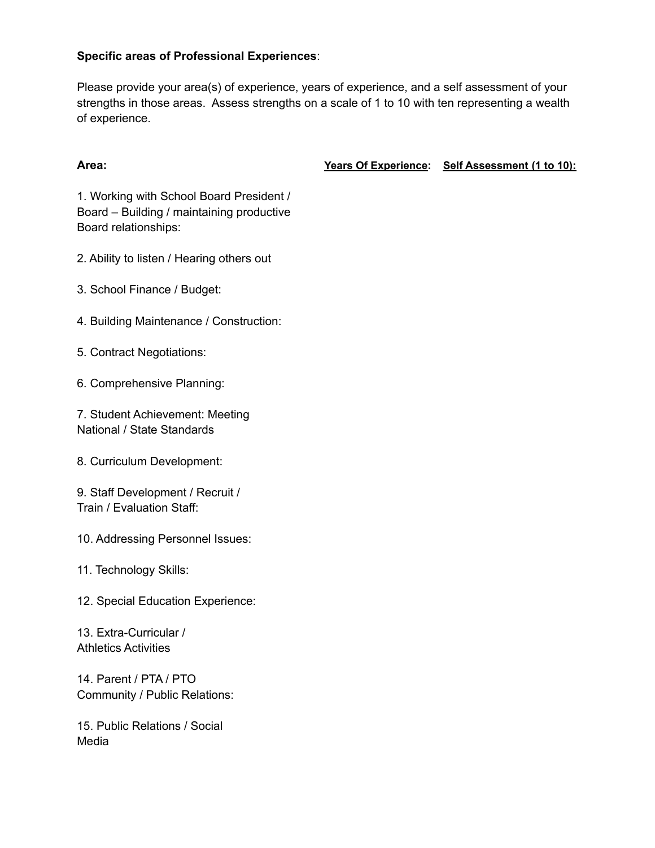### **Specific areas of Professional Experiences**:

Please provide your area(s) of experience, years of experience, and a self assessment of your strengths in those areas. Assess strengths on a scale of 1 to 10 with ten representing a wealth of experience.

**Area: Years Of Experience: Self Assessment (1 to 10):**

1. Working with School Board President / Board – Building / maintaining productive Board relationships:

2. Ability to listen / Hearing others out

- 3. School Finance / Budget:
- 4. Building Maintenance / Construction:

5. Contract Negotiations:

6. Comprehensive Planning:

7. Student Achievement: Meeting National / State Standards

8. Curriculum Development:

9. Staff Development / Recruit / Train / Evaluation Staff:

10. Addressing Personnel Issues:

11. Technology Skills:

12. Special Education Experience:

13. Extra-Curricular / Athletics Activities

14. Parent / PTA / PTO Community / Public Relations:

15. Public Relations / Social Media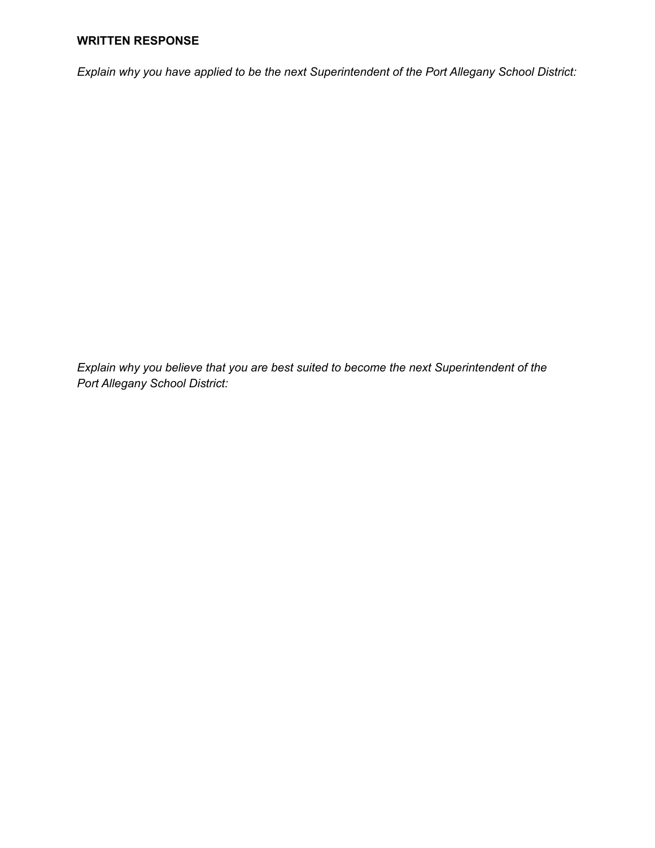#### **WRITTEN RESPONSE**

*Explain why you have applied to be the next Superintendent of the Port Allegany School District:*

*Explain why you believe that you are best suited to become the next Superintendent of the Port Allegany School District:*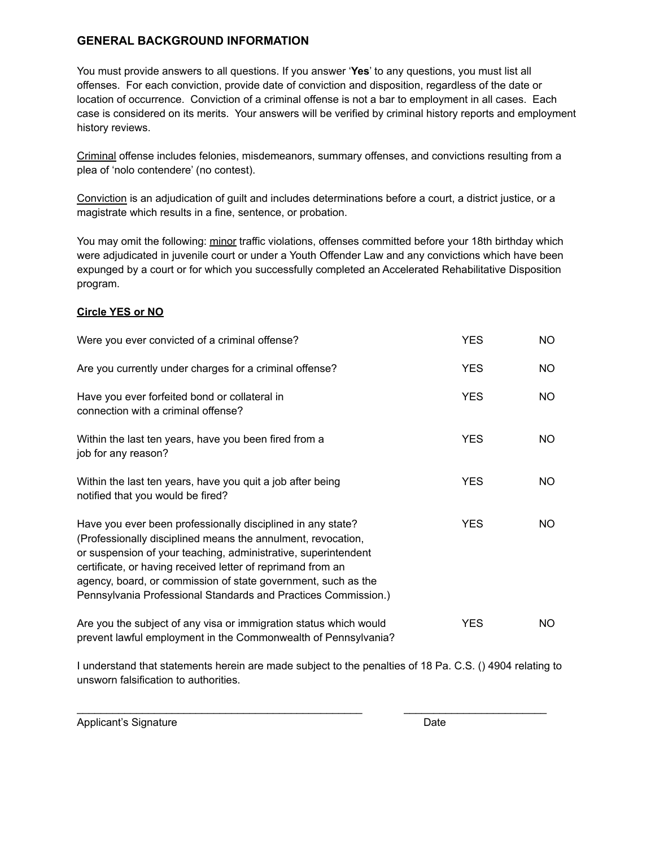#### **GENERAL BACKGROUND INFORMATION**

You must provide answers to all questions. If you answer '**Yes**' to any questions, you must list all offenses. For each conviction, provide date of conviction and disposition, regardless of the date or location of occurrence. Conviction of a criminal offense is not a bar to employment in all cases. Each case is considered on its merits. Your answers will be verified by criminal history reports and employment history reviews.

Criminal offense includes felonies, misdemeanors, summary offenses, and convictions resulting from a plea of 'nolo contendere' (no contest).

Conviction is an adjudication of guilt and includes determinations before a court, a district justice, or a magistrate which results in a fine, sentence, or probation.

You may omit the following: minor traffic violations, offenses committed before your 18th birthday which were adjudicated in juvenile court or under a Youth Offender Law and any convictions which have been expunged by a court or for which you successfully completed an Accelerated Rehabilitative Disposition program.

#### **Circle YES or NO**

| Were you ever convicted of a criminal offense?                                                                                                                                                                                                                                                                                                                                                  | <b>YES</b> | NO. |
|-------------------------------------------------------------------------------------------------------------------------------------------------------------------------------------------------------------------------------------------------------------------------------------------------------------------------------------------------------------------------------------------------|------------|-----|
| Are you currently under charges for a criminal offense?                                                                                                                                                                                                                                                                                                                                         | <b>YES</b> | NO. |
| Have you ever forfeited bond or collateral in<br>connection with a criminal offense?                                                                                                                                                                                                                                                                                                            | <b>YES</b> | NO. |
| Within the last ten years, have you been fired from a<br>job for any reason?                                                                                                                                                                                                                                                                                                                    | <b>YES</b> | NO. |
| Within the last ten years, have you quit a job after being<br>notified that you would be fired?                                                                                                                                                                                                                                                                                                 | <b>YES</b> | NO. |
| Have you ever been professionally disciplined in any state?<br>(Professionally disciplined means the annulment, revocation,<br>or suspension of your teaching, administrative, superintendent<br>certificate, or having received letter of reprimand from an<br>agency, board, or commission of state government, such as the<br>Pennsylvania Professional Standards and Practices Commission.) | <b>YES</b> | NO. |
| Are you the subject of any visa or immigration status which would<br>prevent lawful employment in the Commonwealth of Pennsylvania?                                                                                                                                                                                                                                                             | <b>YES</b> | NO. |

I understand that statements herein are made subject to the penalties of 18 Pa. C.S. () 4904 relating to unsworn falsification to authorities.

\_\_\_\_\_\_\_\_\_\_\_\_\_\_\_\_\_\_\_\_\_\_\_\_\_\_\_\_\_\_\_\_\_\_\_\_\_\_\_\_\_\_\_\_\_\_\_\_ \_\_\_\_\_\_\_\_\_\_\_\_\_\_\_\_\_\_\_\_\_\_\_\_

Applicant's Signature **Date**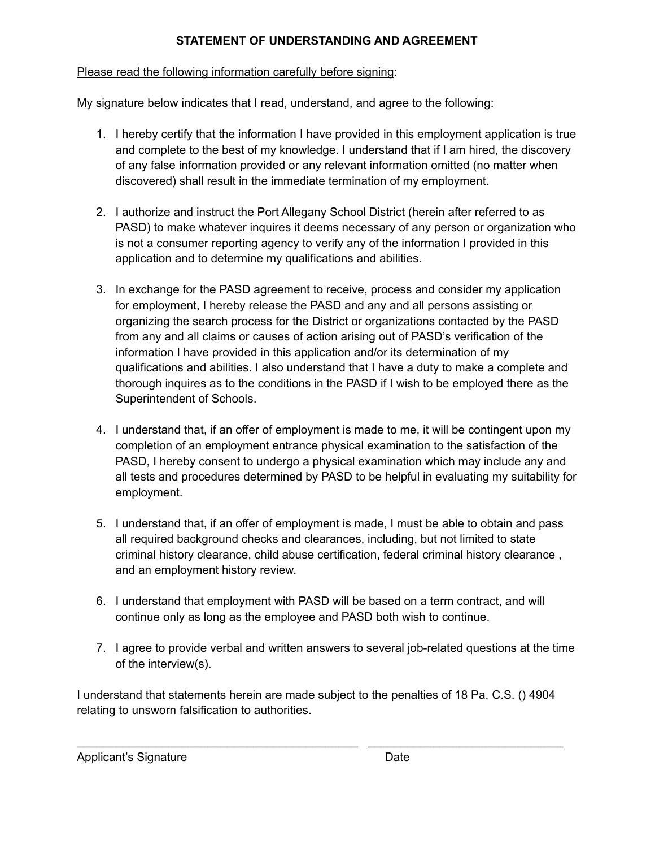# **STATEMENT OF UNDERSTANDING AND AGREEMENT**

## Please read the following information carefully before signing:

My signature below indicates that I read, understand, and agree to the following:

- 1. I hereby certify that the information I have provided in this employment application is true and complete to the best of my knowledge. I understand that if I am hired, the discovery of any false information provided or any relevant information omitted (no matter when discovered) shall result in the immediate termination of my employment.
- 2. I authorize and instruct the Port Allegany School District (herein after referred to as PASD) to make whatever inquires it deems necessary of any person or organization who is not a consumer reporting agency to verify any of the information I provided in this application and to determine my qualifications and abilities.
- 3. In exchange for the PASD agreement to receive, process and consider my application for employment, I hereby release the PASD and any and all persons assisting or organizing the search process for the District or organizations contacted by the PASD from any and all claims or causes of action arising out of PASD's verification of the information I have provided in this application and/or its determination of my qualifications and abilities. I also understand that I have a duty to make a complete and thorough inquires as to the conditions in the PASD if I wish to be employed there as the Superintendent of Schools.
- 4. I understand that, if an offer of employment is made to me, it will be contingent upon my completion of an employment entrance physical examination to the satisfaction of the PASD, I hereby consent to undergo a physical examination which may include any and all tests and procedures determined by PASD to be helpful in evaluating my suitability for employment.
- 5. I understand that, if an offer of employment is made, I must be able to obtain and pass all required background checks and clearances, including, but not limited to state criminal history clearance, child abuse certification, federal criminal history clearance , and an employment history review.
- 6. I understand that employment with PASD will be based on a term contract, and will continue only as long as the employee and PASD both wish to continue.
- 7. I agree to provide verbal and written answers to several job-related questions at the time of the interview(s).

I understand that statements herein are made subject to the penalties of 18 Pa. C.S. () 4904 relating to unsworn falsification to authorities.

\_\_\_\_\_\_\_\_\_\_\_\_\_\_\_\_\_\_\_\_\_\_\_\_\_\_\_\_\_\_\_\_\_\_\_\_\_\_\_\_\_\_\_ \_\_\_\_\_\_\_\_\_\_\_\_\_\_\_\_\_\_\_\_\_\_\_\_\_\_\_\_\_\_

# Applicant's Signature Date Date